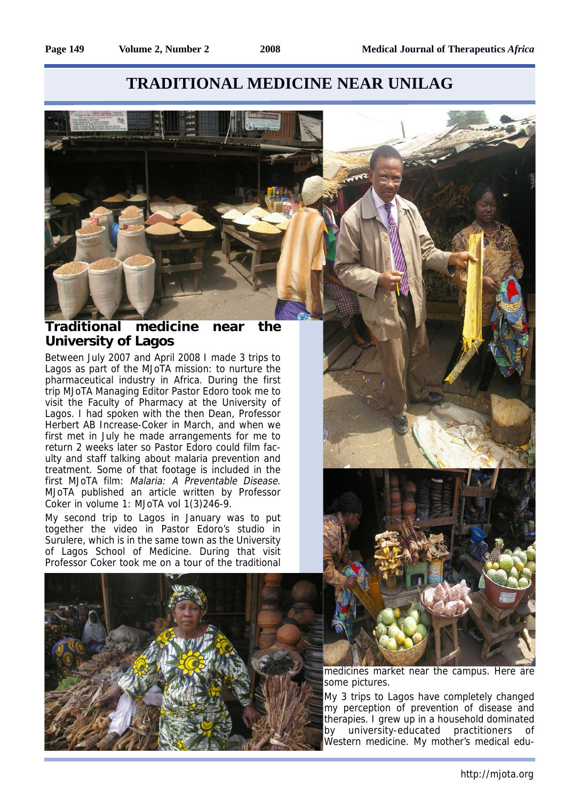## **TRADITIONAL MEDICINE NEAR UNILAG**



Between July 2007 and April 2008 I made 3 trips to Lagos as part of the MJoTA mission: to nurture the pharmaceutical industry in Africa. During the first trip MJoTA Managing Editor Pastor Edoro took me to visit the Faculty of Pharmacy at the University of Lagos. I had spoken with the then Dean, Professor Herbert AB Increase-Coker in March, and when we first met in July he made arrangements for me to return 2 weeks later so Pastor Edoro could film faculty and staff talking about malaria prevention and treatment. Some of that footage is included in the first MJoTA film: Malaria: A Preventable Disease. MJoTA published an article written by Professor Coker in volume 1: MJoTA vol 1(3)246-9.

My second trip to Lagos in January was to put together the video in Pastor Edoro's studio in Surulere, which is in the same town as the University of Lagos School of Medicine. During that visit Professor Coker took me on a tour of the traditional





medicines market near the campus. Here are some pictures.

My 3 trips to Lagos have completely changed my perception of prevention of disease and therapies. I grew up in a household dominated by university-educated practitioners of Western medicine. My mother's medical edu-